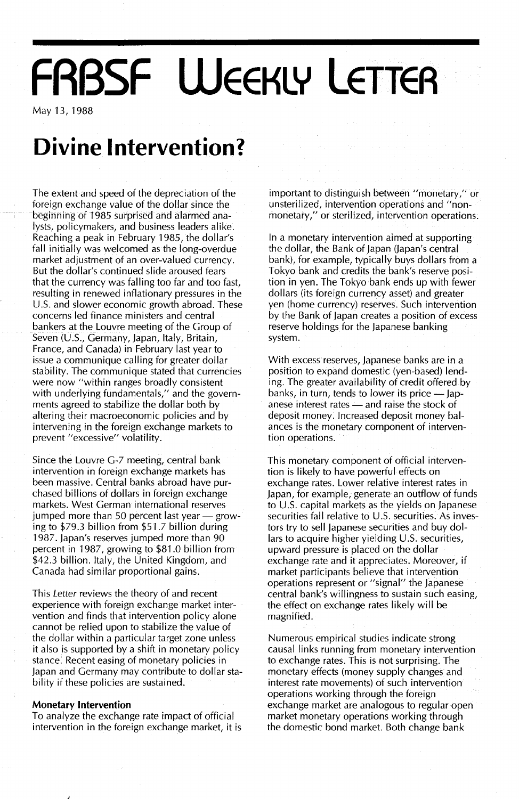# **FABSF WEEKLY LETTER**

May 13, 1988

## **Divine Intervention?**

The extent and speed of the depreciation of the foreign exchange value of the dollar since the beginning of 1985 surprised and alarmed analysts, policymakers, and business leaders alike. Reaching a peak in February 1985, the dollar's fall initially was welcomed as the long-overdue market adjustment of an over-valued currency. But the dollar's continued slide aroused fears that the currency was falling too far and too fast, resulting in renewed inflationary pressures in the U.5. and slower economic growth abroad. These concerns led finance ministers and central bankers at the Louvre meeting of the Group of Seven (U.S., Germany, Japan, Italy, Britain, France, and Canada) in February last year to issue a communique calling for greater dollar stability. The communique stated that currencies were now "within ranges broadly consistent with underlying fundamentals," and the governments agreed to stabilize the dollar both by altering their macroeconomic policies and by intervening in the foreign exchange markets to prevent "excessive" volatility.

Since the Louvre G-7 meeting, central bank intervention in foreign exchange markets has been massive. Central banks abroad have purchased billions of dollars in foreign exchange markets. West German international reserves jumped more than 50 percent last year  $-$  growing to \$79.3 billion from \$51.7 billion during 1987. Japan's reserves jumped more than 90 percent in 1987, growing to \$81.0 billion from \$42.3 billion. Italy, the United Kingdom, and Canada had similar proportional gains.

This Letter reviews the theory of and recent experience with foreign exchange market intervention and finds that intervention policy alone cannot be relied upon to stabilize the value of the dollar within a particular target zone unless it also is supported by a shift in monetary policy stance. Recent easing of monetary policies in Japan and Germany may contribute to dollar stability if these policies are sustained.

#### **Monetary Intervention**

To analyze the exchange rate impact of official intervention in the foreign exchange market, it is important to distinguish between "monetary," or unsterilized, intervention operations and "nonmonetary," or sterilized, intervention operations.

In a monetary intervention aimed at supporting the dollar, the Bank of Japan Uapan's central bank), for example, typically buys dollars from a Tokyo bank and credits the bank's reserve position in yen. The Tokyo bank ends up with fewer dollars (its foreign currency asset) and greater yen (home currency) reserves. Such intervention by the Bank of Japan creates a position of excess reserve holdings for the Japanese banking system.

With excess reserves, Japanese banks are in a position to expand domestic (yen-based) lending. The greater availability of credit offered by banks, in turn, tends to lower its price  $-$  Japanese interest rates - and raise the stock of deposit money. Increased deposit money balances is the monetary component of intervention operations.

This monetary component of official intervention is likely to have powerful effects on exchange rates. Lower relative interest rates in Japan, for example, generate an outflow of funds to U.5. capital markets as the yields on Japanese securities fall relative to U.5. securities. As investors try to sell Japanese securities and buy dollars to acquire higher yielding U.S. securities, upward pressure is placed on the dollar exchange rate and it appreciates. Moreover, if market participants believe that intervention operations represent or "signal" the Japanese central bank's willingness to sustain such easing, the effect on exchange rates likely will be magnified.

Numerous empirical studies indicate strong causal links running from monetary intervention to exchange rates. This is not surprising. The monetary effects (money supply changes and interest rate movements) of such intervention operations working through the foreign exchange market are analogous to regular open market monetary operations working through the domestic bond market. Both change bank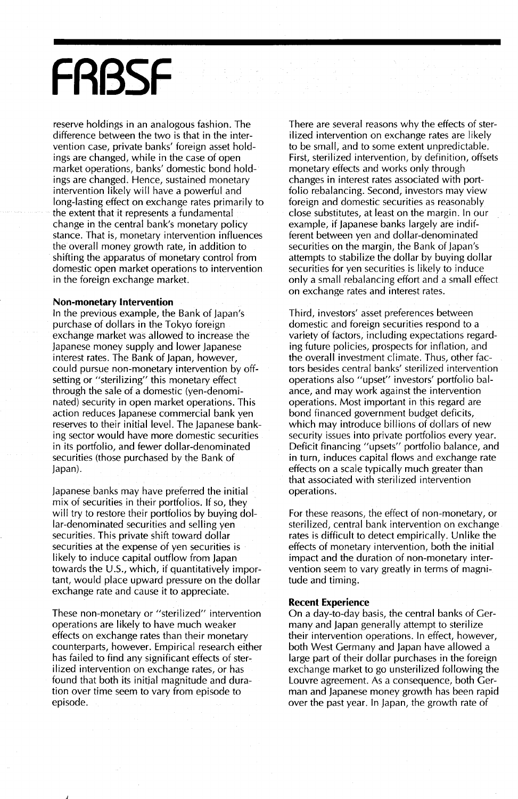## **FRBSF**

*reserve* holdings in an analogous fashion. The difference between the two is that in the intervention case, private banks' foreign asset holdings are changed, while in the case of open market operations, banks' domestic bond holdings are changed. Hence, sustained monetary intervention likely will *have* a powerful and long-lasting effect on exchange rates primarily to the extent that it represents a fundamental change in the central bank's monetary policy stance. That is, monetary intervention influences the *overall* money growth rate, in addition to shifting the apparatus of monetary control from domestic open market operations to intervention in the foreign exchange market.

#### **Non-monetary Intervention**

In the previous example, the Bank of Japan's purchase of dollars in the Tokyo foreign exchange market was allowed to increase the Japanese money supply and lower Japanese interest rates. The Bank of Japan, *however,* could pursue non-monetary intervention byoffsetting or "sterilizing" this monetary effect through the sale of a domestic (yen-denominated) security in open market operations. This action reduces Japanese commercial bank yen *reserves* to their initial *level.* The Japanese banking sector would *have* more domestic securities in its portfolio, and fewer dollar-denominated securities (those purchased by the Bank of Japan).

Japanese banks may *have* preferred the initial mix of securities in their portfolios. If so, they will try to restore their portfolios by buying dollar-denominated securities and selling yen securities. This private shift toward dollar securities at the expense of yen securities is likely to induce capital outflow from Japan towards the U.5., which, if quantitatively important, would place upward pressure on the dollar exchange rate and cause it to appreciate.

These non-monetary or "sterilized" intervention operations are likely to *have* much weaker effects on exchange rates than their monetary counterparts, *however.* Empirical research either has failed to find any significant effects of sterilized intervention on exchange rates, or has found that both its initjal magnitude and duration *over* time seem to *vary* from episode to episode.

There are several reasons why the effects of sterilized intervention on exchange rates are likely to be small, and to some extent unpredictable. First, sterilized intervention, by definition, offsets monetary effects and works only through changes in interest rates associated with portfolio rebalancing. Second, investors may *view* foreign and domestic securities as reasonably close substitutes, at least on the margin. In our example, if Japanese banks largely are indifferent between yen and dollar-denominated securities on the margin, the Bank of Japan's attempts to stabilize the dollar by buying dollar securities for yen securities is likely to induce only a small rebalancing effort and a small effect on exchange rates and interest rates.

Third, investors' asset preferences between domestic and foreign securities respond to a variety of factors, including expectations regarding future policies, prospects for inflation, and the *overall* investment climate. Thus, other factors besides central banks' sterilized intervention operations also "upset" investors' portfolio balance, and may work against the intervention operations. Most important in this regard are bond financed government budget deficits, which may introduce billions of dollars of new security issues into private portfolios *every* year. Deficit financing "upsets" portfolio balance, and in turn, induces capital flows and exchange rate effects on a scale typically much greater than that associated with sterilized intervention operations.

For these reasons, the effect of non-monetary, or sterilized, central bank intervention on exchange rates is difficult to detect empirically. Unlike the effects of monetary intervention, both the initial impact and the duration of non-monetary intervention seem to *vary* greatly in terms of magnitude and timing.

#### **Recent Experience**

On a day-to-day basis, the central banks of Germany and Japan generally attempt to sterilize their intervention operations. In effect, *however,* both West Germany and Japan *have* allowed a large part of their dollar purchases in the foreign exchange market to go unsterilized following the *Louvre* agreement. As a consequence, both German and Japanese money growth has been rapid *over* the past year. In Japan, the growth rate of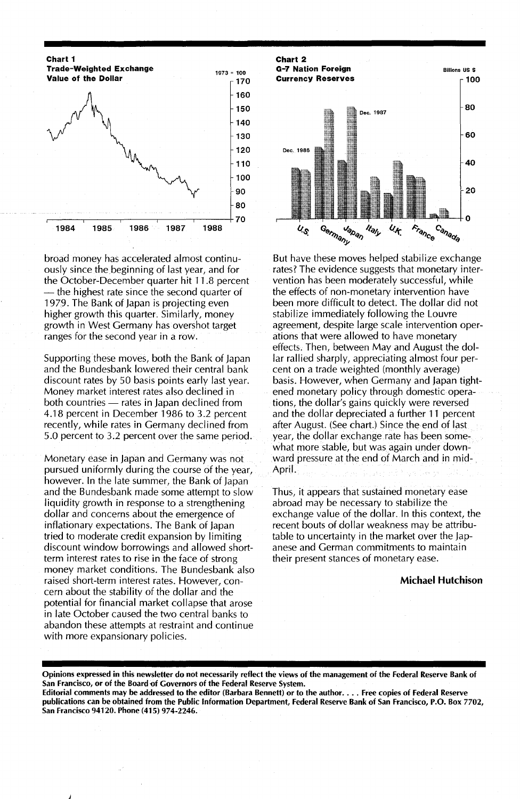

broad money has accelerated almost continuously since the beginning of last year, and for the October-December quarter hit 11.8 percent - the highest rate since the second quarter of 1979. The Bank of Japan is projecting even higher growth this quarter. Similarly, money growth in West Germany has overshot target ranges for the second year in a row.

Supporting these moves, both the Bank of Japan and the Bundesbank lowered their central bank discount rates by 50 basis points early last year. Money market interest rates also declined in both countries — rates in Japan declined from 4.18 percent in December 1986 to 3.2 percent recently, while rates in Germany declined from 5.0 percent to 3.2 percent over the same period.

Monetary ease in Japan and Germany was not pursued uniformly during the course of the year, however. In the late summer, the Bank of Japan and the Bundesbank made some attempt to slow liquidity growth in response to a strengthening dollar and concerns about the emergence of inflationary expectations. The Bank of Japan tried to moderate credit expansion by limiting discount window borrowings and allowed shortterm interest rates to rise in the face of strong money market conditions. The Bundesbank also raised short-term interest rates. However, concern about the stability of the dollar and the potential for financial market collapse that arose in late October caused the two central banks to abandon these attempts at restraint and continue with more expansionary policies.



But have these moves helped stabilize exchange rates? The evidence suggests that monetary intervention has been moderately successful, while the effects of non-monetary intervention have been more difficult to detect. The dollar did not stabilize immediately following the Louvre agreement, despite large scale intervention operations that were allowed to have monetary effects. Then, between May and August the dollar rallied sharply, appreciating almost four percent on a trade weighted (monthly average) basis. However, when Germany and Japan tightened monetary policy through domestic operations, the dollar's gains quickly were reversed and the dollar depreciated a further 11 percent after August. (See chart.) Since the end of last year, the dollar exchange rate has been somewhat more stable, but was again under downward pressure at the end of March and in mid-April.

Thus, it appears that sustained monetary ease abroad may be necessary to stabilize the exchange value of the dollar. In this context, the recent bouts of dollar weakness may be attributable to uncertainty in the market over the Japanese and German commitments to maintain their present stances of monetary ease.

#### Michael Hutchison

Opinions expressed in this newsletter do not necessarily reflect the views of the management of the Federal Reserve Bank of San Francisco, or of the Board of Governors of the Federal Reserve System.

Editorial comments may be addressed to the editor (Barbara Bennett) or to the author.... Free copies of Federal Reserve publications can be obtained from the Public Information Department, Federal Reserve Bank of San Francisco, P.O. Box 7702, San Francisco 94120. Phone (415) 974-2246.